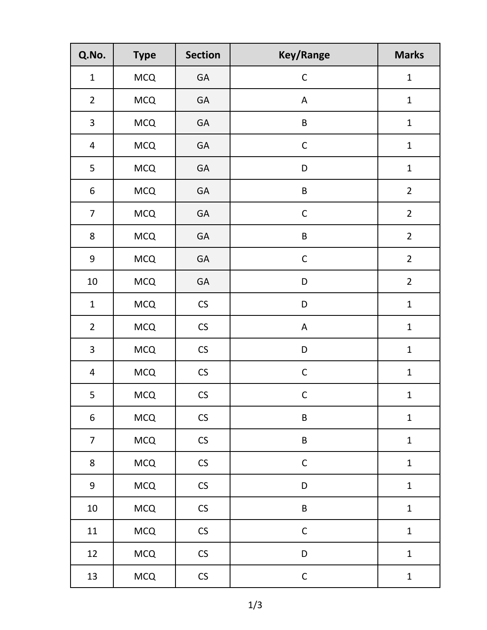| Q.No.            | <b>Type</b> | <b>Section</b>       | <b>Key/Range</b> | <b>Marks</b>   |
|------------------|-------------|----------------------|------------------|----------------|
| $\mathbf 1$      | <b>MCQ</b>  | GA                   | $\mathsf C$      | $\mathbf{1}$   |
| $\overline{2}$   | <b>MCQ</b>  | GA                   | A                | $\mathbf{1}$   |
| $\mathbf{3}$     | <b>MCQ</b>  | GA                   | $\sf B$          | $\mathbf{1}$   |
| $\overline{4}$   | <b>MCQ</b>  | GA                   | $\mathsf C$      | $\mathbf{1}$   |
| 5                | <b>MCQ</b>  | GA                   | D                | $\mathbf{1}$   |
| 6                | <b>MCQ</b>  | GA                   | $\sf B$          | $\overline{2}$ |
| $\overline{7}$   | <b>MCQ</b>  | GA                   | $\mathsf C$      | $\overline{2}$ |
| 8                | <b>MCQ</b>  | GA                   | $\sf B$          | $\overline{2}$ |
| 9                | <b>MCQ</b>  | GA                   | $\mathsf C$      | $\overline{2}$ |
| $10\,$           | <b>MCQ</b>  | GA                   | D                | $\overline{2}$ |
| $\mathbf{1}$     | <b>MCQ</b>  | $\mathsf{CS}\xspace$ | D                | $\mathbf 1$    |
| $\overline{2}$   | <b>MCQ</b>  | $\mathsf{CS}\xspace$ | A                | $\mathbf{1}$   |
| 3                | <b>MCQ</b>  | $\mathsf{CS}\xspace$ | D                | $\mathbf{1}$   |
| $\overline{4}$   | <b>MCQ</b>  | $\mathsf{CS}\xspace$ | $\mathsf C$      | $\mathbf 1$    |
| 5                | <b>MCQ</b>  | $\mathsf{CS}\xspace$ | $\mathsf C$      | $\mathbf{1}$   |
| 6                | <b>MCQ</b>  | $\mathsf{CS}\xspace$ | $\sf B$          | $\mathbf{1}$   |
| $\overline{7}$   | <b>MCQ</b>  | $\mathsf{CS}\xspace$ | $\sf B$          | $\mathbf{1}$   |
| 8                | <b>MCQ</b>  | $\mathsf{CS}\xspace$ | $\mathsf C$      | $\mathbf 1$    |
| $\boldsymbol{9}$ | <b>MCQ</b>  | $\mathsf{CS}\xspace$ | D                | $\mathbf{1}$   |
| $10\,$           | <b>MCQ</b>  | $\mathsf{CS}\xspace$ | $\sf B$          | $\mathbf{1}$   |
| 11               | <b>MCQ</b>  | ${\sf CS}$           | $\mathsf C$      | $\mathbf{1}$   |
| 12               | MCQ         | $\mathsf{CS}\xspace$ | D                | $\mathbf{1}$   |
| 13               | <b>MCQ</b>  | $\mathsf{CS}\xspace$ | $\mathsf C$      | $\mathbf{1}$   |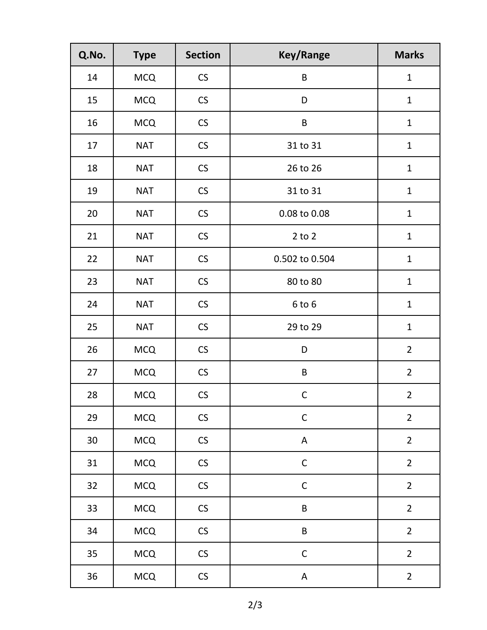| Q.No.  | <b>Type</b> | <b>Section</b>       | <b>Key/Range</b> | <b>Marks</b>   |
|--------|-------------|----------------------|------------------|----------------|
| 14     | <b>MCQ</b>  | CS                   | $\sf B$          | $\mathbf{1}$   |
| 15     | <b>MCQ</b>  | CS                   | D                | $\mathbf{1}$   |
| 16     | <b>MCQ</b>  | CS                   | $\sf B$          | $\mathbf{1}$   |
| 17     | <b>NAT</b>  | CS                   | 31 to 31         | $\mathbf{1}$   |
| 18     | <b>NAT</b>  | $\mathsf{CS}\xspace$ | 26 to 26         | $\mathbf 1$    |
| 19     | <b>NAT</b>  | CS                   | 31 to 31         | $\mathbf 1$    |
| $20\,$ | <b>NAT</b>  | CS                   | 0.08 to 0.08     | $\mathbf{1}$   |
| 21     | <b>NAT</b>  | CS                   | $2$ to $2$       | $\mathbf{1}$   |
| 22     | <b>NAT</b>  | $\mathsf{CS}\xspace$ | 0.502 to 0.504   | $\mathbf 1$    |
| 23     | <b>NAT</b>  | CS                   | 80 to 80         | $\mathbf{1}$   |
| 24     | <b>NAT</b>  | CS                   | 6 to 6           | $\mathbf{1}$   |
| 25     | <b>NAT</b>  | $\mathsf{CS}\xspace$ | 29 to 29         | $\mathbf{1}$   |
| 26     | <b>MCQ</b>  | $\mathsf{CS}\xspace$ | D                | $\overline{2}$ |
| 27     | <b>MCQ</b>  | $\mathsf{CS}\xspace$ | $\sf B$          | $\overline{2}$ |
| 28     | $MCQ$       | $\mathsf{CS}\xspace$ | $\mathsf C$      | $\overline{c}$ |
| 29     | <b>MCQ</b>  | $\mathsf{CS}\xspace$ | $\mathsf C$      | $\overline{2}$ |
| $30\,$ | <b>MCQ</b>  | $\mathsf{CS}\xspace$ | $\mathsf A$      | $\overline{2}$ |
| 31     | <b>MCQ</b>  | $\mathsf{CS}\xspace$ | $\mathsf C$      | $\overline{2}$ |
| 32     | <b>MCQ</b>  | CS                   | $\mathsf C$      | $\overline{2}$ |
| 33     | <b>MCQ</b>  | $\mathsf{CS}\xspace$ | $\sf B$          | $\overline{2}$ |
| 34     | <b>MCQ</b>  | $\mathsf{CS}\xspace$ | $\sf B$          | $\overline{2}$ |
| 35     | <b>MCQ</b>  | $\mathsf{CS}\xspace$ | $\mathsf C$      | $\overline{2}$ |
| 36     | <b>MCQ</b>  | $\mathsf{CS}\xspace$ | $\mathsf A$      | $\overline{2}$ |